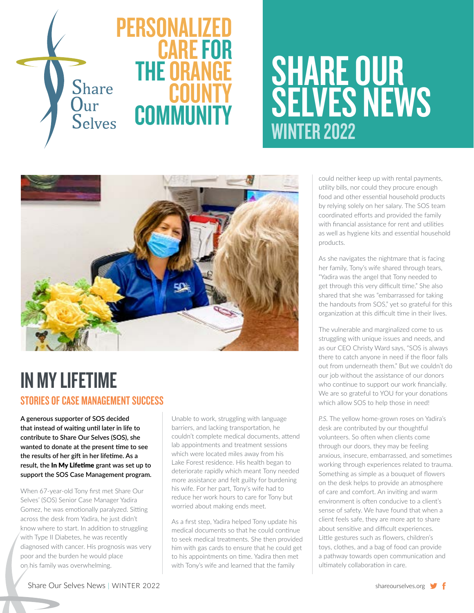

# SHARE OUR **SELVES NEWS** WINTER 2022



### IN MY LIFETIME STORIES OF CASE MANAGEMENT SUCCESS

**A generous supporter of SOS decided that instead of waiting until later in life to contribute to Share Our Selves (SOS), she wanted to donate at the present time to see the results of her gift in her lifetime. As a result, the** In My Lifetime **grant was set up to support the SOS Case Management program.** 

When 67-year-old Tony first met Share Our Selves' (SOS) Senior Case Manager Yadira Gomez, he was emotionally paralyzed. Sitting across the desk from Yadira, he just didn't know where to start. In addition to struggling with Type II Diabetes, he was recently diagnosed with cancer. His prognosis was very poor and the burden he would place on his family was overwhelming.

Unable to work, struggling with language barriers, and lacking transportation, he couldn't complete medical documents, attend lab appointments and treatment sessions which were located miles away from his Lake Forest residence. His health began to deteriorate rapidly which meant Tony needed more assistance and felt guilty for burdening his wife. For her part, Tony's wife had to reduce her work hours to care for Tony but worried about making ends meet.

As a first step, Yadira helped Tony update his medical documents so that he could continue to seek medical treatments. She then provided him with gas cards to ensure that he could get to his appointments on time. Yadira then met with Tony's wife and learned that the family

could neither keep up with rental payments, utility bills, nor could they procure enough food and other essential household products by relying solely on her salary. The SOS team coordinated efforts and provided the family with financial assistance for rent and utilities as well as hygiene kits and essential household products.

As she navigates the nightmare that is facing her family, Tony's wife shared through tears, "Yadira was the angel that Tony needed to get through this very difficult time." She also shared that she was "embarrassed for taking the handouts from SOS," yet so grateful for this organization at this difficult time in their lives.

The vulnerable and marginalized come to us struggling with unique issues and needs, and as our CEO Christy Ward says, "SOS is always there to catch anyone in need if the floor falls out from underneath them." But we couldn't do our job without the assistance of our donors who continue to support our work financially. We are so grateful to YOU for your donations which allow SOS to help those in need!

*P.S.* The yellow home-grown roses on Yadira's desk are contributed by our thoughtful volunteers. So often when clients come through our doors, they may be feeling anxious, insecure, embarrassed, and sometimes working through experiences related to trauma. Something as simple as a bouquet of flowers on the desk helps to provide an atmosphere of care and comfort. An inviting and warm environment is often conducive to a client's sense of safety. We have found that when a client feels safe, they are more apt to share about sensitive and difficult experiences. Little gestures such as flowers, children's toys, clothes, and a bag of food can provide a pathway towards open communication and ultimately collaboration in care.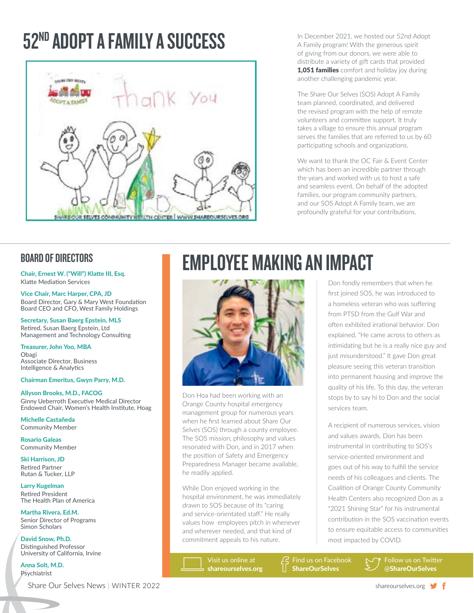## 52ND ADOPT A FAMILY A SUCCESS



In December 2021, we hosted our 52nd Adopt A Family program! With the generous spirit of giving from our donors, we were able to distribute a variety of gift cards that provided **1,051 families** comfort and holiday joy during another challenging pandemic year.

The Share Our Selves (SOS) Adopt A Family team planned, coordinated, and delivered the revised program with the help of remote volunteers and committee support. It truly takes a village to ensure this annual program serves the families that are referred to us by 60 participating schools and organizations.

We want to thank the OC Fair & Event Center which has been an incredible partner through the years and worked with us to host a safe and seamless event. On behalf of the adopted families, our program community partners, and our SOS Adopt A Family team, we are profoundly grateful for your contributions.

Chair, Ernest W. ("Will") Klatte III, Esq. Klatte Mediation Services

Vice Chair, Marc Harper, CPA, JD Board Director, Gary & Mary West Foundation Board CEO and CFO, West Family Holdings

Secretary, Susan Baerg Epstein, MLS Retired, Susan Baerg Epstein, Ltd Management and Technology Consulting

Treasurer, John Yoo, MBA Obagi Associate Director, Business Intelligence & Analytics

#### Chairman Emeritus, Gwyn Parry, M.D.

Allyson Brooks, M.D., FACOG Ginny Ueberroth Executive Medical Director Endowed Chair, Women's Health Institute, Hoag

Michelle Castañeda Community Member

Rosario Galeas Community Member

Ski Harrison, JD Retired Partner Rutan & Tucker, LLP

Larry Kugelman Retired President The Health Plan of America

Martha Rivera, Ed.M. Senior Director of Programs Simon Scholars

David Snow, Ph.D. Distinguished Professor University of California, Irvine

Anna Solt, M.D. Psychiatrist

## BOARD OF DIRECTORS **EMPLOYEE MAKING AN IMPACT**



Don Hoa had been working with an Orange County hospital emergency management group for numerous years when he first learned about Share Our Selves (SOS) through a county employee. The SOS mission, philosophy and values resonated with Don, and in 2017 when the position of Safety and Emergency Preparedness Manager became available, he readily applied.

While Don enjoyed working in the hospital environment, he was immediately drawn to SOS because of its "caring and service-orientated staff." He really values how employees pitch in whenever and wherever needed, and that kind of commitment appeals to his nature.

> Visit us online at shareourselves.org

Don fondly remembers that when he first joined SOS, he was introduced to a homeless veteran who was suffering from PTSD from the Gulf War and often exhibited irrational behavior. Don explained, "He came across to others as intimidating but he is a really nice guy and just misunderstood." It gave Don great pleasure seeing this veteran transition into permanent housing and improve the quality of his life. To this day, the veteran stops by to say hi to Don and the social services team.

A recipient of numerous services, vision and values awards, Don has been instrumental in contributing to SOS's service-oriented environment and goes out of his way to fulfill the service needs of his colleagues and clients. The Coalition of Orange County Community Health Centers also recognized Don as a "2021 Shining Star" for his instrumental contribution in the SOS vaccination events to ensure equitable access to communities most impacted by COVID.

Find us on Facebook ShareOurSelves

Follow us on Twitter @ShareOurSelves

Share Our Selves News | WINTER 2022 share our set of the state of the share our shareourselves.org  $\blacktriangledown$  f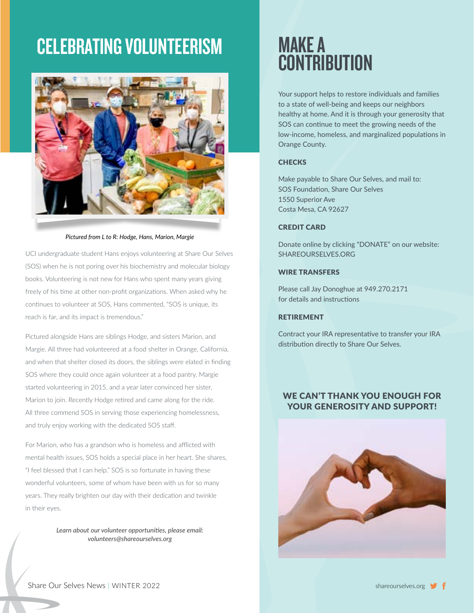## CELEBRATING VOLUNTEERISM



*Pictured from L to R: Hodge, Hans, Marion, Margie* 

UCI undergraduate student Hans enjoys volunteering at Share Our Selves (SOS) when he is not poring over his biochemistry and molecular biology books. Volunteering is not new for Hans who spent many years giving freely of his time at other non-profit organizations. When asked why he continues to volunteer at SOS, Hans commented, "SOS is unique, its reach is far, and its impact is tremendous."

Pictured alongside Hans are siblings Hodge, and sisters Marion, and Margie. All three had volunteered at a food shelter in Orange, California, and when that shelter closed its doors, the siblings were elated in finding SOS where they could once again volunteer at a food pantry. Margie started volunteering in 2015, and a year later convinced her sister, Marion to join. Recently Hodge retired and came along for the ride. All three commend SOS in serving those experiencing homelessness, and truly enjoy working with the dedicated SOS staff.

For Marion, who has a grandson who is homeless and afflicted with mental health issues, SOS holds a special place in her heart. She shares, "I feel blessed that I can help." SOS is so fortunate in having these wonderful volunteers, some of whom have been with us for so many years. They really brighten our day with their dedication and twinkle in their eyes.

> *Learn about our volunteer opportunities, please email: volunteers@shareourselves.org*

### MAKE A **CONTRIBUTION**

Your support helps to restore individuals and families to a state of well-being and keeps our neighbors healthy at home. And it is through your generosity that SOS can continue to meet the growing needs of the low-income, homeless, and marginalized populations in Orange County.

#### **CHECKS**

Make payable to Share Our Selves, and mail to: SOS Foundation, Share Our Selves 1550 Superior Ave Costa Mesa, CA 92627

#### CREDIT CARD

Donate online by clicking "DONATE" on our website: SHAREOURSELVES.ORG

#### WIRE TRANSFERS

Please call Jay Donoghue at 949.270.2171 for details and instructions

#### RETIREMENT

Contract your IRA representative to transfer your IRA distribution directly to Share Our Selves.

#### WE CAN'T THANK YOU ENOUGH FOR YOUR GENEROSITY AND SUPPORT!



Share Our Selves News | WINTER 2022 share our state of the state of the state of the state of the state of the state of the state of the state of the state of the state of the state of the state of the state of the state o